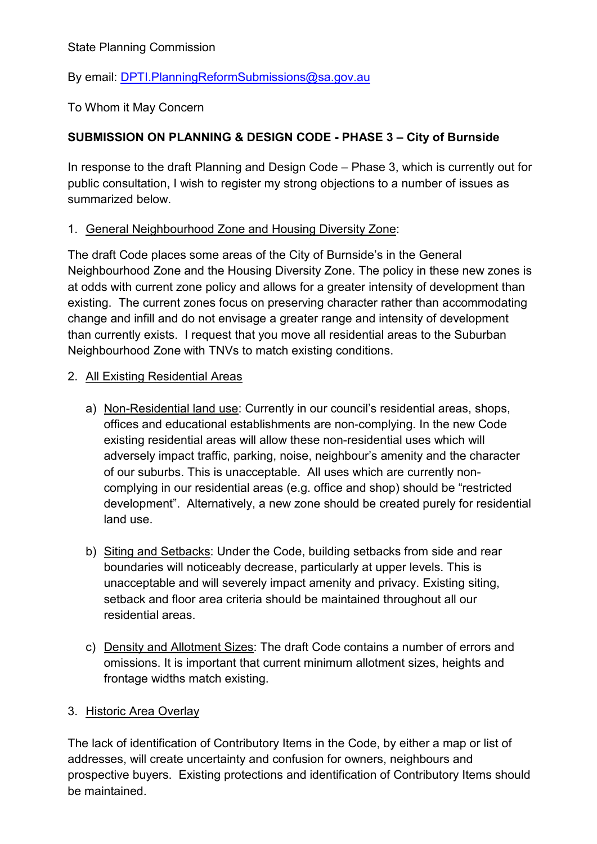State Planning Commission

By email: [DPTI.PlanningReformSubmissions@sa.gov.au](mailto:DPTI.PlanningReformSubmissions@sa.gov.au)

To Whom it May Concern

# **SUBMISSION ON PLANNING & DESIGN CODE - PHASE 3 – City of Burnside**

In response to the draft Planning and Design Code – Phase 3, which is currently out for public consultation, I wish to register my strong objections to a number of issues as summarized below.

## 1. General Neighbourhood Zone and Housing Diversity Zone:

The draft Code places some areas of the City of Burnside's in the General Neighbourhood Zone and the Housing Diversity Zone. The policy in these new zones is at odds with current zone policy and allows for a greater intensity of development than existing. The current zones focus on preserving character rather than accommodating change and infill and do not envisage a greater range and intensity of development than currently exists. I request that you move all residential areas to the Suburban Neighbourhood Zone with TNVs to match existing conditions.

## 2. All Existing Residential Areas

- a) Non-Residential land use: Currently in our council's residential areas, shops, offices and educational establishments are non-complying. In the new Code existing residential areas will allow these non-residential uses which will adversely impact traffic, parking, noise, neighbour's amenity and the character of our suburbs. This is unacceptable. All uses which are currently noncomplying in our residential areas (e.g. office and shop) should be "restricted development". Alternatively, a new zone should be created purely for residential land use.
- b) Siting and Setbacks: Under the Code, building setbacks from side and rear boundaries will noticeably decrease, particularly at upper levels. This is unacceptable and will severely impact amenity and privacy. Existing siting, setback and floor area criteria should be maintained throughout all our residential areas.
- c) Density and Allotment Sizes: The draft Code contains a number of errors and omissions. It is important that current minimum allotment sizes, heights and frontage widths match existing.

## 3. Historic Area Overlay

The lack of identification of Contributory Items in the Code, by either a map or list of addresses, will create uncertainty and confusion for owners, neighbours and prospective buyers. Existing protections and identification of Contributory Items should be maintained.